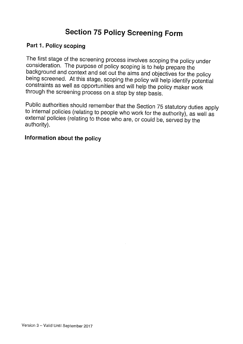# Section <sup>75</sup> Policy Screening Form

#### Part 1. Policy scoping

The first stage of the screening process involves scoping the policy under consideration. The purpose of policy scoping is to help prepare the background and context and set out the aims and objectives for the policy being screened. At this stage, scoping the policy will help identify potential constraints as well as opportunities and will help the policy maker work through the screening process on <sup>a</sup> step by step basis.

Public authorities should remember that the Section <sup>75</sup> statutory duties apply to internal policies (relating to people who work for the authority), as well as external policies (relating to those who are, or could be, served by the authority).

### Information about the policy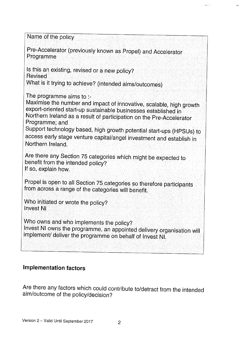Name of the policy Pre-Accelerator (previously known as Propel) and Accelerator Programme Is this an existing, revised or <sup>a</sup> new policy? Revised What is it trying to achieve? (intended aims/outcomes) The programme aims to :-<br>Maximise the number and impact of innovative, scalable, high growth export-oriented start-up sustainable businesses established in  $\bar{\ }$ <br>Northern Ireland as a result of participation on the Pre-Accelerator Programme; and Support technology based, high growth potential start-ups (HPSUs) to access early stage venture capital/angel investment and establish in Northern Ireland. Are there any Section <sup>75</sup> categories which might be expected to benefit from the intended policy? If so, explain how. Propel is open to all Section 75 categories so therefore participants from across a range of the categories will benefit. Who initiated or wrote the policy? Invest NI Who owns and who implements the policy?<br>Invest NI owns the programme, an appointed delivery organisation will implement/ deliver the programme on behalf of Invest NI.

u<br>U Heagles State

### Implementation factors

Are there any factors which could contribute to/detract from the intended aim/outcome of the policy/decision?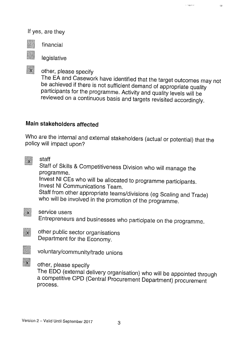#### If yes, are they



 $\mathbf{x}$ 

financial

legislative

other, <sup>p</sup>lease specify

The EA and Casework have identified that the target outcomes may not be achieved if there is not sufficient demand of appropriate quality participants for the programme. Activity and quality levels will be reviewed on <sup>a</sup> continuous basis and targets revisited accordingly.

**Simple entity** 

 $\frac{1}{2} \frac{d\mathbf{y}}{d\mathbf{x}}$ 

### Main stakeholders affected

Who are the internal and external stakeholders (actual or potential) that the policy will impact upon?

staff  $\mathbf{x}$ 

Staff of Skills & Competitiveness Division who will manage the programme.

Invest NI CEs who will be allocated to programme participants. Invest NI Communications Team.

Staff from other appropriate teams/divisions (eg Scaling and Trade) who will be involved in the promotion of the programme.

 $\mathbf{x}$ 

service users

Entrepreneurs and businesses who participate on the programme.



 $\mathbf{x}$ 

other public sector organisations Department for the Economy.

- voluntary/community/trade unions
- other, <sup>p</sup>lease specify

The EDO (external delivery organisation) who will be appointed through <sup>a</sup> competitive CPD (Central Procurement Department) procurement process.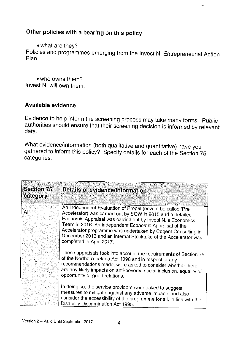## Other policies with <sup>a</sup> bearing on this policy

• what are they?

Policies and programmes emerging from the Invest NI Entrepreneurial Action Plan.

.<br>He

• who owns them? Invest NI will own them.

#### Available evidence

Evidence to help inform the screening process may take many forms. Public authorities should ensure that their screening decision is informed by relevant data.

What evidence/information (both qualitative and quantitative) have you gathered to inform this policy? Specify details for each of the Section <sup>75</sup> categories.

| <b>Section 75</b><br>category | <b>Details of evidence/information</b>                                                                                                                                                                                                                                                                                                                                                                          |
|-------------------------------|-----------------------------------------------------------------------------------------------------------------------------------------------------------------------------------------------------------------------------------------------------------------------------------------------------------------------------------------------------------------------------------------------------------------|
| <b>ALL</b>                    | An independent Evaluation of Propel (now to be called 'Pre<br>Accelerator) was carried out by SQW in 2015 and a detailed<br>Economic Appraisal was carried out by Invest NI's Economics<br>Team in 2016. An independent Economic Appraisal of the<br>Accelerator programme was undertaken by Cogent Consulting in<br>December 2013 and an internal Stocktake of the Accelerator was<br>completed in April 2017. |
|                               | These appraisals took into account the requirements of Section 75<br>of the Northern Ireland Act 1998 and in respect of any<br>recommendations made, were asked to consider whether there<br>are any likely impacts on anti-poverty, social inclusion, equality of<br>opportunity or good relations.                                                                                                            |
|                               | In doing so, the service providers were asked to suggest<br>measures to mitigate against any adverse impacts and also<br>consider the accessibility of the programme for all, in line with the<br>Disability Discrimination Act 1995.                                                                                                                                                                           |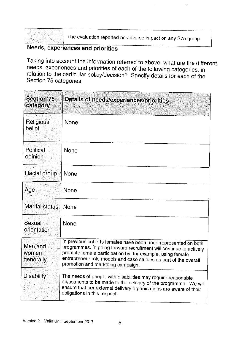| ٠<br>٠<br>ż<br>×<br>٠<br>i.<br>×.<br>t                                                                                                                                             | ÷<br>٠<br>٠.<br>×<br>t,<br>×.<br>î,<br>٠<br>×<br>i,<br>ĩ.<br>V,<br>ï                  | í<br>٠<br>í,<br>٠<br>i,<br>×<br>÷<br>ì,<br>÷.<br>٠.                      | ×<br>٠<br>×.<br>t<br>٠<br>í,<br>٠<br>. .<br>ç<br>٠                                            |
|------------------------------------------------------------------------------------------------------------------------------------------------------------------------------------|---------------------------------------------------------------------------------------|--------------------------------------------------------------------------|-----------------------------------------------------------------------------------------------|
| ٠<br>٠<br>í,<br>٠<br>л.<br>٠<br>t<br>$\lambda$<br>Í.<br>î,<br>Y<br>$\mathcal{I}$<br>$\sim$<br>٠<br>٠<br>×<br>٠<br>×<br>٠.<br>٠                                                     | š<br>ł<br>٠<br>٠<br>l,<br>×<br>٠<br>×,<br>露<br>٠<br>÷                                 | Î,<br>Ì<br>. .                                                           | ٠<br>ì<br>t,<br>K<br>٠<br>t<br>ą<br>i,<br>÷.<br>٠<br>٠                                        |
| í,<br>×<br>ĩ,<br>٠<br>ł<br>٠<br>ţ<br>:<br>÷.<br>٠<br>ł<br>٠<br>×<br>$\alpha$                                                                                                       | Y.<br>D<br>à,<br>٠                                                                    | $\alpha$<br>٠<br>×                                                       | ì.<br>ł<br>$\frac{1}{2}$<br>t<br>ĵ,<br>t,<br>$\sim$<br>í,                                     |
| S<br>Ħ<br>ï<br>$\mathcal{L}_{\mathcal{A}}$<br>×<br>à,<br>ī.<br>¢<br>à,<br>ó,<br>$\langle \sigma_{\mu} \sigma_{\nu} \rangle$<br>i,<br>٠<br>۰.<br>٠<br>$\overline{a}$<br>٠<br>×<br>٠ | ś<br>ă<br>ś.<br>t.<br>×<br>k<br>×<br>š<br>÷<br>ι,<br>٠<br>×<br>٠<br>٠<br>×<br>×<br>i, | y.<br>Br<br>Ð                                                            | ł<br>٠<br>×<br>Á<br>W<br>à.<br>. .<br>S<br>J.                                                 |
| ×.<br>ı.<br>×.<br>ł,<br>٠<br>×<br>×<br>٠<br>٠<br>٠.<br>.,<br>Î,<br>×<br>٠.<br>٠<br>í.<br>k.<br>٠<br>٠<br>×<br>J.<br>٠                                                              | Ã<br>S<br>٠<br>×<br>٠<br>ń.<br>٠<br>٠<br>٠<br>٠<br>٠<br>22<br>٠                       | ţ<br>1.11<br>ł.<br>$\epsilon$<br>٠<br>×<br>İ<br>ä,<br>í.<br>٠<br>ı.<br>٠ | ٠<br>٠<br>٠<br>×<br>×<br>î,<br>Ì<br>ç<br>$\epsilon$<br>×<br>×<br>×.<br>٠<br>٠<br>i,<br>٠<br>٠ |

The evaluation reported no adverse impact on any S75 group.

## Needs, experiences and priorities

Taking into account the information referred to above, what are the different needs, experiences and priorities of each of the following categories, in relation to the particular policy/decision? Specify details for each of the Section <sup>75</sup> categories

| <b>Section 75</b><br>category | Details of needs/experiences/priorities                                                                                                                                                                                                                                                                     |
|-------------------------------|-------------------------------------------------------------------------------------------------------------------------------------------------------------------------------------------------------------------------------------------------------------------------------------------------------------|
| Religious<br>belief           | None                                                                                                                                                                                                                                                                                                        |
| Political<br>opinion          | None                                                                                                                                                                                                                                                                                                        |
| Racial group                  | None                                                                                                                                                                                                                                                                                                        |
| Age                           | None                                                                                                                                                                                                                                                                                                        |
| Marital status                | <b>None</b>                                                                                                                                                                                                                                                                                                 |
| Sexual<br>orientation         | <b>None</b>                                                                                                                                                                                                                                                                                                 |
| Men and<br>women<br>generally | In previous cohorts females have been underrepresented on both<br>programmes. In going forward recruitment will continue to actively<br>promote female participation by, for example, using female<br>entrepreneur role models and case studies as part of the overall<br>promotion and marketing campaign. |
| Disability                    | The needs of people with disabilities may require reasonable<br>adjustments to be made to the delivery of the programme. We will<br>ensure that our external delivery organisations are aware of their<br>obligations in this respect.                                                                      |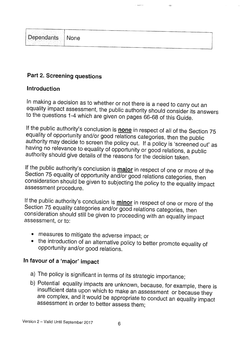| ристором состоительных положениях положениях состоительных положениях положениях положениях положениях положени |                                                                                                   |  |
|-----------------------------------------------------------------------------------------------------------------|---------------------------------------------------------------------------------------------------|--|
| $\sim$ $\sim$<br><b>小球基部製造</b> 、                                                                                | ฅฅѬѬҏ҆ѻ҉ѽѡҥӊѭѬѲ҉ѬѦѾѦѬѬѬѲ҉ҀѬӔѬѬѬѲ҈ӔѬӔѬѬѲѲ҈ҼѼҽѨҽѥѤѬѬѬѬѬѬѬѲѲѲѲҽҽѤѸ҈ѲѲҼѬѤѬѬѬѬѲѲѲѲѲѲѲѲѲѲѲѲѲѲѲѲѲѲѲѲѲѲѲѲ |  |
| Dependants   None                                                                                               |                                                                                                   |  |
| teriori ispan<br>omen <u>tales?</u> 解脱时的。                                                                       |                                                                                                   |  |
|                                                                                                                 | mean ann an Affair Lion ann an am an Lion ann an ann a                                            |  |

**Navigat** 

 $\mathcal{L}_{\mathcal{A}}$ 

### Part 2. Screening questions

#### Introduction

In making <sup>a</sup> decision as to whether or not there is <sup>a</sup> need to carry out an equality impact assessment, the public authority should consider its answers to the questions 1-4 which are <sup>g</sup>iven on pages 66-68 of this Guide.

If the public authority's conclusion is **none** in respect of all of the Section 75 equality of opportunity and/or good relations categories, then the public authority may decide to screen the policy out. If <sup>a</sup> policy is 'screened out' as having no relevance to equality of opportunity or good relations, <sup>a</sup> public authority should <sup>g</sup>ive details of the reasons for the decision taken.

If the public authority's conclusion is **major** in respect of one or more of the Section 75 equality of opportunity and/or good relations categories, then consideration should be <sup>g</sup>iven to subjecting the policy to the equality impact assessment procedure.

If the public authority's conclusion is **minor** in respect of one or more of the Section <sup>75</sup> equality categories and/or good relations categories, then consideration should still be <sup>g</sup>iven to proceeding with an equality impact assessment, or to:

- measures to mitigate the adverse impact; or
- the introduction of an alternative policy to better promote equality of opportunity and/or good relations.

## In favour of <sup>a</sup> 'major' impact

- 
- a) The policy is significant in terms of its strategic importance;<br>b) Potential equality impacts are unknown, because, for example, there is insufficient data upon which to make an assessment or because they are complex, and it would be appropriate to conduct an equality impact assessment in order to better assess them;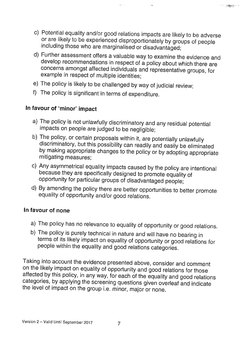c) Potential equality and/or good relations impacts are likely to be adverse or are likely to be experienced disproportionately by groups of people including those who are marginalised or disadvantaged;

 $\gamma_{\rm CS}$ 

**STATISTICS** 

- d) Further assessment offers <sup>a</sup> valuable way to examine the evidence and develop recommendations in respect of <sup>a</sup> policy about which there are concerns amongst affected individuals and representative groups, for example in respect of multiple identities;
- e) The policy is likely to be challenged by way of judicial review;
- f) The policy is significant in terms of expenditure.

## In favour of 'minor' impact

- a) The policy is not unlawfully discriminatory and any residual potential impacts on people are judged to be negligible;
- b) The policy, or certain proposals within it, are potentially unlawfully discriminatory, but this possibility can readily and easily be eliminated by making appropriate changes to the policy or by adopting appropriate mitigating measures;
- c) Any asymmetrical equality impacts caused by the policy are intentional because they are specifically designed to promote equality of opportunity for particular groups of disadvantaged people;
- d) By amending the policy there are better opportunities to better promote equality of opportunity and/or good relations.

### In favour of none

- a) The policy has no relevance to equality of opportunity or good relations.
- b) The policy is purely technical in nature and will have no bearing in terms of its likely impact on equality of opportunity or good relations for people within the equality and good relations categories.

Taking into account the evidence presented above, consider and comment on the likely impact on equality of opportunity and good relations for those affected by this policy, in any way, for each of the equality and good relations categories, by applying the screening questions <sup>g</sup>iven overleaf and indicate the level of impact on the group i.e. minor, major or none.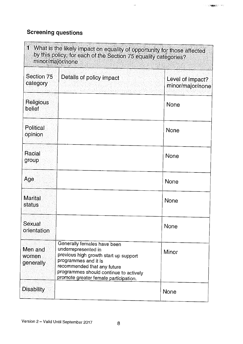## Screening questions

| 1<br>What is the likely impact on equality of opportunity for those affected<br>by this policy, for each of the Section 75 equality categories?<br>minor/major/none |                                                                                                                                                                                                                                       |                                      |
|---------------------------------------------------------------------------------------------------------------------------------------------------------------------|---------------------------------------------------------------------------------------------------------------------------------------------------------------------------------------------------------------------------------------|--------------------------------------|
| Section 75<br>category                                                                                                                                              | Details of policy impact                                                                                                                                                                                                              | Level of impact?<br>minor/major/none |
| Religious<br>belief                                                                                                                                                 |                                                                                                                                                                                                                                       | None                                 |
| Political<br>opinion                                                                                                                                                |                                                                                                                                                                                                                                       | None                                 |
| Racial<br>group                                                                                                                                                     |                                                                                                                                                                                                                                       | None                                 |
| Age                                                                                                                                                                 |                                                                                                                                                                                                                                       | <b>None</b>                          |
| <b>Marital</b><br>status                                                                                                                                            |                                                                                                                                                                                                                                       | None                                 |
| Sexual<br>orientation                                                                                                                                               |                                                                                                                                                                                                                                       | <b>None</b>                          |
| Men and<br>women<br>generally                                                                                                                                       | Generally females have been<br>underrepresented in<br>previous high growth start up support<br>programmes and it is<br>recommended that any future<br>programmes should continue to actively<br>promote greater female participation. | Minor                                |
| <b>Disability</b>                                                                                                                                                   |                                                                                                                                                                                                                                       | <b>None</b>                          |

 $\omega_{\rm{eff}}$ 

 $\gamma$  of  $\gamma$  and  $\gamma$  and  $\gamma$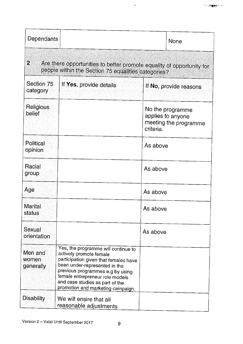| Dependants                    | None                                                                                                                                                                                                                                                                                    |                                                                             |
|-------------------------------|-----------------------------------------------------------------------------------------------------------------------------------------------------------------------------------------------------------------------------------------------------------------------------------------|-----------------------------------------------------------------------------|
| $\overline{2}$                | Are there opportunities to better promote equality of opportunity for<br>people within the Section 75 equalities categories?                                                                                                                                                            |                                                                             |
| Section 75<br>category        | If Yes, provide details                                                                                                                                                                                                                                                                 | If No, provide reasons                                                      |
| Religious<br>belief           |                                                                                                                                                                                                                                                                                         | No the programme<br>applies to anyone<br>meeting the programme<br>criteria. |
| <b>Political</b><br>opinion   |                                                                                                                                                                                                                                                                                         | As above                                                                    |
| Racial<br>group               |                                                                                                                                                                                                                                                                                         | As above                                                                    |
| Age                           |                                                                                                                                                                                                                                                                                         | As above                                                                    |
| Marital<br>status             |                                                                                                                                                                                                                                                                                         | As above                                                                    |
| Sexual<br>orientation         |                                                                                                                                                                                                                                                                                         | As above                                                                    |
| Men and<br>women<br>generally | Yes, the programme will continue to<br>actively promote female<br>participation given that females have<br>been under-represented in the<br>previous programmes e.g by using<br>female entrepreneur role models<br>and case studies as part of the<br>promotion and marketing campaign. |                                                                             |
| <b>Disability</b>             | We will ensire that all<br>reasonable adjustments                                                                                                                                                                                                                                       |                                                                             |

 $\frac{1}{2}$ 

 $\sim$   $\mu$ 

 $\sim$  1000  $\mu$  m  $\sim$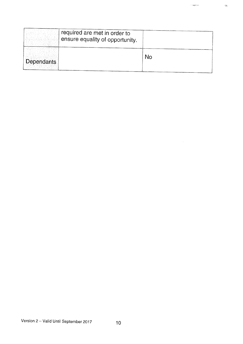|                   | required are met in order to<br>ensure equality of opportunity. |    |
|-------------------|-----------------------------------------------------------------|----|
| <b>Dependants</b> |                                                                 | No |
|                   |                                                                 |    |

 $\langle \cdot \rangle$  compared .

 $\mathcal{L}_{\text{eff}}$ 

 $\frac{\partial \mathcal{L}_{\text{max}}}{\partial \mathcal{L}_{\text{max}}}$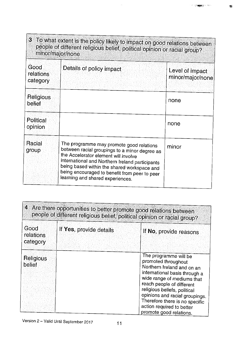| minor/major/none              | 3 To what extent is the policy likely to impact on good relations between<br>people of different religious belief, political opinion or racial group?                                                                                                                                                                    |                                     |
|-------------------------------|--------------------------------------------------------------------------------------------------------------------------------------------------------------------------------------------------------------------------------------------------------------------------------------------------------------------------|-------------------------------------|
| Good<br>relations<br>category | Details of policy impact                                                                                                                                                                                                                                                                                                 | Level of impact<br>minor/major/none |
| Religious<br>belief           |                                                                                                                                                                                                                                                                                                                          | none                                |
| Political<br>opinion          |                                                                                                                                                                                                                                                                                                                          | none                                |
| Racial<br>group               | The programme may promote good relations<br>between racial groupings to a minor degree as<br>the Accelerator element will involve<br>international and Northern Ireland participants<br>being based within the shared workspace and<br>being encouraged to benefit from peer to peer<br>learning and shared experiences. | minor                               |

 $\mathbb{R}^2$ 

| 4 Are there opportunities to better promote good relations between<br>people of different religious belief, political opinion or racial group? |                         |                                                                                                                                                                                                                                                                                                                                    |  |
|------------------------------------------------------------------------------------------------------------------------------------------------|-------------------------|------------------------------------------------------------------------------------------------------------------------------------------------------------------------------------------------------------------------------------------------------------------------------------------------------------------------------------|--|
| Good<br>relations<br>category                                                                                                                  | If Yes, provide details | If No, provide reasons                                                                                                                                                                                                                                                                                                             |  |
| Religious<br>belief                                                                                                                            |                         | The programme will be<br>promoted throughout<br>Northern Ireland and on an<br>international basis through a<br>wide range of mediums that<br>reach people of different<br>religious beliefs, political<br>opinions and racial groupings.<br>Therefore there is no specific<br>action required to better<br>promote good relations. |  |

 $1.50$  and  $2.50$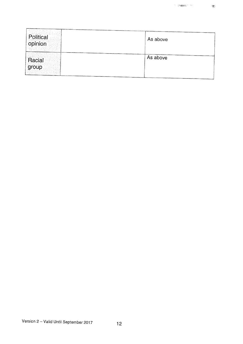$\frac{1}{\sqrt{2}}$ 

| Political<br>opinion | As above |
|----------------------|----------|
| Racial<br>group      | As above |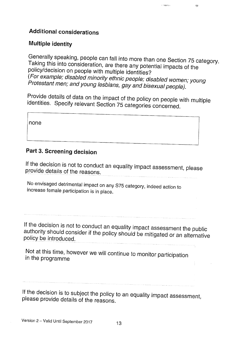### Additional considerations

### Multiple identity

Generally speaking, people can fall into more than one Section <sup>75</sup> category. Taking this into consideration, are there any potential impacts of the policy/decision on people with multiple identities? (For example; disabled minority ethnic people; disabled women; young Protestant men; and young lesbians, gay and bisexual people).

in magazine

 $\frac{1}{\sqrt{2}}$ 

Provide details of data on the impact of the policy on people with multiple identities. Specify relevant Section <sup>75</sup> categories concerned.

none

## Part 3. Screening decision

If the decision is not to conduct an equality impact assessment, <sup>p</sup>lease provide details of the reasons. 

No envisaged detrimental impact on any S75 category, indeed action to increase female participation is in <sup>p</sup>lace.

If the decision is not to conduct an equality impact assessment the public authority should consider if the policy should be mitigated or an alternative policy be introduced.

Not at this time, however we will continue to monitor participation in the programme

If the decision is to subject the policy to an equality impact assessment, <sup>p</sup>lease provide details of the reasons.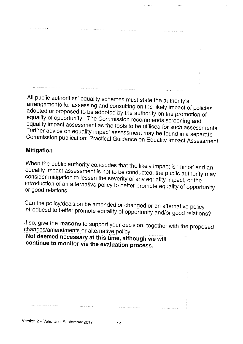$1 - 448896$ 

es.

All public authorities' equality schemes must state the authority's arrangements for assessing and consulting on the likely impact of policies adopted or proposed to be adopted by the authority on the promotion of equality of opportunity. The Commission recommends screening and equality impact assessment as the tools to be utilised for such assessments. Further advice on equality impact assessment may be found in <sup>a</sup> separate Commission publication: Practical Guidance on Equality Impact Assessment.

#### Mitigation

When the public authority concludes that the likely impact is 'minor' and an equality impact assessment is not to be conducted, the public authority may consider mitigation to lessen the severity of any equality impact, or the introduction of an alternative policy to better promote equality of opportunity or good relations.

Can the policy/decision be amended or changed or an alternative policy introduced to better promote equality of opportunity and/or good relations?

If so, give the reasons to support your decision, together with the proposed changes/amendments or alternative policy.

Not deemed necessary at this time, although we will continue to monitor via the evaluation process.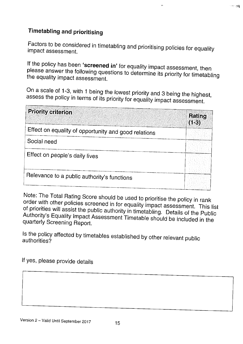## Timetabling and prioritising

Factors to be considered in timetabling and prioritising policies for equality impact assessment.

If the policy has been '**screened in**' for equality impact assessment, then <sup>p</sup>lease answer the following questions to determine its priority for timetabling the equality impact assessment.

On <sup>a</sup> scale of 1-3, with <sup>1</sup> being the lowest priority and <sup>3</sup> being the highest, assess the policy in terms of its priority for equality impact assessment.

| <b>Priority criterion</b>                            | Rating<br>$(1-3)$ |
|------------------------------------------------------|-------------------|
| Effect on equality of opportunity and good relations |                   |
| Social need                                          |                   |
| Effect on people's daily lives                       |                   |
| Relevance to a public authority's functions          |                   |

Note: The Total Rating Score should be used to prioritise the policy in rank order with other policies screened in for equality impact assessment. This list Authority's Equality Impact Assessment Timetable should be included in the of priorities will assist the public authority in timetabling. Details of the Public quarterly Screening Report.

Is the policy affected by timetables established by other relevant public authorities?

If yes, <sup>p</sup>lease provide details